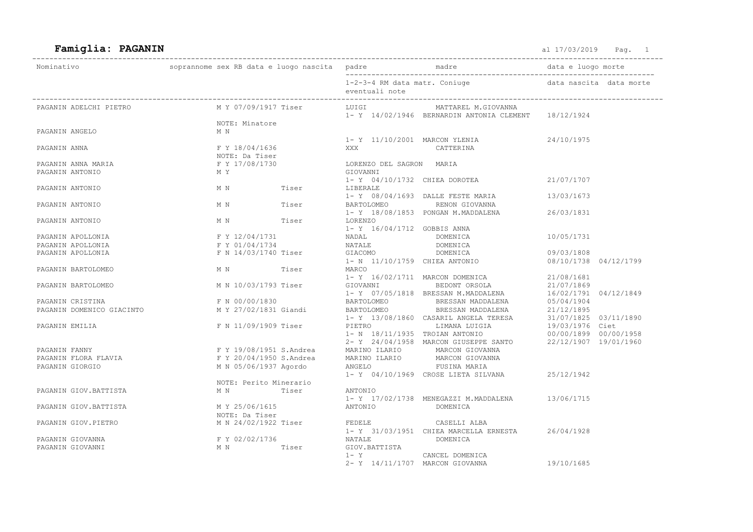## Famiglia: PAGANIN and the set of the set of the set of the set of the set of the set of the set of the set of the set of the set of the set of the set of the set of the set of the set of the set of the set of the set of th

| Nominativo                                                                                                                                                                                                                                                                 |                                   |  |                                                                               |                                                                                                                                                                                                       |            |  |
|----------------------------------------------------------------------------------------------------------------------------------------------------------------------------------------------------------------------------------------------------------------------------|-----------------------------------|--|-------------------------------------------------------------------------------|-------------------------------------------------------------------------------------------------------------------------------------------------------------------------------------------------------|------------|--|
|                                                                                                                                                                                                                                                                            |                                   |  | 1-2-3-4 RM data matr. Coniuge b and data nascita data morte<br>eventuali note |                                                                                                                                                                                                       |            |  |
| PAGANIN ADELCHI PIETRO                                                                                                                                                                                                                                                     |                                   |  | M Y 07/09/1917 Tiser LUIGI                                                    | MATTAREL M.GIOVANNA<br>1- Y 14/02/1946 BERNARDIN ANTONIA CLEMENT 18/12/1924                                                                                                                           |            |  |
|                                                                                                                                                                                                                                                                            | NOTE: Minatore                    |  |                                                                               |                                                                                                                                                                                                       |            |  |
| PAGANIN ANGELO                                                                                                                                                                                                                                                             | M N                               |  |                                                                               |                                                                                                                                                                                                       |            |  |
|                                                                                                                                                                                                                                                                            |                                   |  | 1- Y 11/10/2001 MARCON YLENIA                                                 |                                                                                                                                                                                                       | 24/10/1975 |  |
| PAGANIN ANNA                                                                                                                                                                                                                                                               | F Y 18/04/1636                    |  | XXX                                                                           | <b>CATTERINA</b>                                                                                                                                                                                      |            |  |
| PAGANIN ANNA MARIA                                                                                                                                                                                                                                                         | NOTE: DA 11301<br>F Y 17/08/1730  |  | LORENZO DEL SAGRON MARIA                                                      |                                                                                                                                                                                                       |            |  |
| PAGANIN ANTONIO                                                                                                                                                                                                                                                            | M Y                               |  | GIOVANNI                                                                      |                                                                                                                                                                                                       |            |  |
|                                                                                                                                                                                                                                                                            |                                   |  |                                                                               | 1- Y 04/10/1732 CHIEA DOROTEA 21/07/1707                                                                                                                                                              |            |  |
| PAGANIN ANTONIO                                                                                                                                                                                                                                                            | M N Tiser                         |  | LIBERALE                                                                      |                                                                                                                                                                                                       |            |  |
|                                                                                                                                                                                                                                                                            |                                   |  |                                                                               | 1- Y 08/04/1693 DALLE FESTE MARIA 13/03/1673                                                                                                                                                          |            |  |
| PAGANIN ANTONIO                                                                                                                                                                                                                                                            | M N Tiser                         |  |                                                                               | BARTOLOMEO RENON GIOVANNA                                                                                                                                                                             |            |  |
|                                                                                                                                                                                                                                                                            |                                   |  |                                                                               | 1- Y 18/08/1853 PONGAN M.MADDALENA                                                                                                                                                                    | 26/03/1831 |  |
| PAGANIN ANTONIO                                                                                                                                                                                                                                                            | M N Tiser                         |  | LORENZO                                                                       |                                                                                                                                                                                                       |            |  |
|                                                                                                                                                                                                                                                                            |                                   |  | 1- Y 16/04/1712 GOBBIS ANNA                                                   |                                                                                                                                                                                                       |            |  |
| PAGANIN APOLLONIA                                                                                                                                                                                                                                                          | F Y 12/04/1731                    |  | NADAL<br>NATALE                                                               | DOMENICA                                                                                                                                                                                              | 10/05/1731 |  |
| PAGANIN APOLLONIA                                                                                                                                                                                                                                                          | F Y 01/04/1734                    |  |                                                                               | DOMENICA<br>DOMENICA                                                                                                                                                                                  |            |  |
| PAGANIN APOLLONIA                                                                                                                                                                                                                                                          | F N 14/03/1740 Tiser              |  | GIACOMO                                                                       | 1- N 11/10/1759 CHIEA ANTONIO 08/10/1738 04/12/1799                                                                                                                                                   | 09/03/1808 |  |
| PAGANIN BARTOLOMEO                                                                                                                                                                                                                                                         | M N Tiser                         |  | MARCO                                                                         |                                                                                                                                                                                                       |            |  |
|                                                                                                                                                                                                                                                                            |                                   |  |                                                                               | 1- Y 16/02/1711 MARCON DOMENICA 21/08/1681                                                                                                                                                            |            |  |
| PAGANIN BARTOLOMEO                                                                                                                                                                                                                                                         | M N 10/03/1793 Tiser              |  |                                                                               |                                                                                                                                                                                                       |            |  |
|                                                                                                                                                                                                                                                                            |                                   |  |                                                                               | 1- Y 16/02/1711 MARCON DOMENTORSOLA 21/07/1869<br>GIOVANNI BEDONT ORSOLA 21/07/1869<br>1- Y 07/05/1818 BRESSAN M.MADDALENA 16/02/1791 04/12/1849                                                      |            |  |
| PAGANIN CRISTINA $\begin{array}{ccc}\n  F & N & 00/00/1830 \\   M & Y & 27/02/1831\n \end{array}$ F N 00/00/1830<br>M Y 27/02/1831 Giandi<br>F N 11/09/1909 Tiser<br>F N 11/09/1909 Tiser<br>F N 11/09/1909 Tiser<br>F N 11/09/1909 Tiser<br>F N 11/09/1909 Tiser<br>F N 1 |                                   |  |                                                                               |                                                                                                                                                                                                       |            |  |
|                                                                                                                                                                                                                                                                            |                                   |  |                                                                               |                                                                                                                                                                                                       |            |  |
|                                                                                                                                                                                                                                                                            |                                   |  |                                                                               |                                                                                                                                                                                                       |            |  |
|                                                                                                                                                                                                                                                                            |                                   |  |                                                                               |                                                                                                                                                                                                       |            |  |
|                                                                                                                                                                                                                                                                            |                                   |  |                                                                               |                                                                                                                                                                                                       |            |  |
|                                                                                                                                                                                                                                                                            |                                   |  |                                                                               | 2- Y 24/04/1958 MARCON GIUSEPPE SANTO 22/12/1907 19/01/1960                                                                                                                                           |            |  |
| PAGANIN FANNY                                                                                                                                                                                                                                                              | F Y 19/08/1951 S.Andrea           |  |                                                                               | F Y 19/08/1951 S.Andrea       MARINO ILARIO       MARCON GIOVANNA<br>F Y 20/04/1950 S.Andrea       MARINO ILARIO       MARCON GIOVANNA<br>M N 05/06/1937 Agordo         ANGELO           FUSINA MARIA |            |  |
| PAGANIN FLORA FLAVIA                                                                                                                                                                                                                                                       |                                   |  |                                                                               |                                                                                                                                                                                                       |            |  |
| PAGANIN GIORGIO                                                                                                                                                                                                                                                            |                                   |  |                                                                               |                                                                                                                                                                                                       |            |  |
|                                                                                                                                                                                                                                                                            |                                   |  |                                                                               | 1- Y 04/10/1969 CROSE LIETA SILVANA 25/12/1942                                                                                                                                                        |            |  |
|                                                                                                                                                                                                                                                                            | NOTE: Perito Minerario            |  |                                                                               |                                                                                                                                                                                                       |            |  |
| PAGANIN GIOV.BATTISTA                                                                                                                                                                                                                                                      | M N Tiser                         |  | ANTONIO                                                                       |                                                                                                                                                                                                       |            |  |
|                                                                                                                                                                                                                                                                            |                                   |  |                                                                               | 1- Y 17/02/1738 MENEGAZZI M.MADDALENA 13/06/1715                                                                                                                                                      |            |  |
| PAGANIN GIOV. BATTISTA                                                                                                                                                                                                                                                     | M Y 25/06/1615<br>NOTEL DE TIMBRE |  |                                                                               |                                                                                                                                                                                                       |            |  |
| PAGANIN GIOV.PIETRO                                                                                                                                                                                                                                                        | NOTE: Da Tiser                    |  |                                                                               |                                                                                                                                                                                                       |            |  |
|                                                                                                                                                                                                                                                                            |                                   |  | M N 24/02/1922 Tiser FEDELE CASELLI ALBA                                      | 1- Y 31/03/1951 CHIEA MARCELLA ERNESTA 26/04/1928                                                                                                                                                     |            |  |
| PAGANIN GIOVANNA                                                                                                                                                                                                                                                           | F Y 02/02/1736                    |  | NATALE DOMENICA                                                               |                                                                                                                                                                                                       |            |  |
| PAGANIN GIOVANNI                                                                                                                                                                                                                                                           | M N Tiser                         |  | GIOV.BATTISTA                                                                 |                                                                                                                                                                                                       |            |  |
|                                                                                                                                                                                                                                                                            |                                   |  | 1- Y CANCEL DOMENICA                                                          |                                                                                                                                                                                                       |            |  |
|                                                                                                                                                                                                                                                                            |                                   |  | 2- Y 14/11/1707 MARCON GIOVANNA                                               |                                                                                                                                                                                                       | 19/10/1685 |  |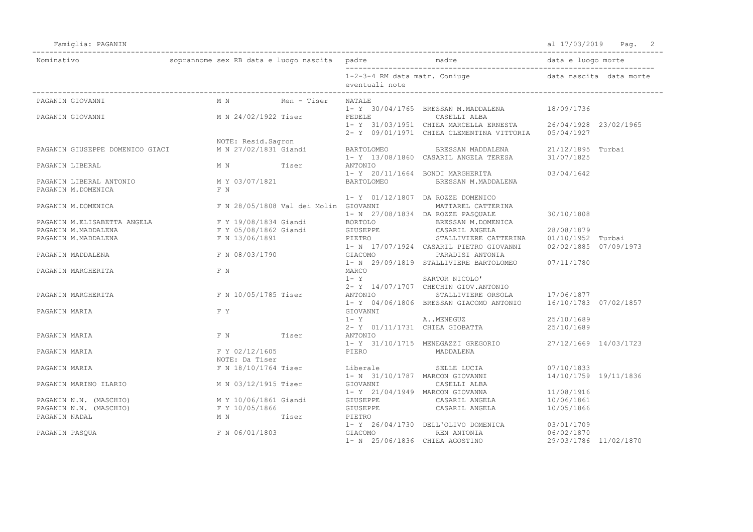Famiglia: PAGANIN al 17/03/2019 Pag. 2

| Nominativo                      |                                               |             |                                 |                                                                                                                   |                                     |  |
|---------------------------------|-----------------------------------------------|-------------|---------------------------------|-------------------------------------------------------------------------------------------------------------------|-------------------------------------|--|
|                                 |                                               |             | eventuali note                  | 1-2-3-4 RM data matr. Coniuge b and data nascita data morte                                                       |                                     |  |
| PAGANIN GIOVANNI                | M N                                           | Ren - Tiser | NATALE                          |                                                                                                                   |                                     |  |
| PAGANIN GIOVANNI                | M N 24/02/1922 Tiser FEDELE CASELLI ALBA      |             |                                 | 1- Y 30/04/1765 BRESSAN M.MADDALENA 18/09/1736                                                                    |                                     |  |
|                                 |                                               |             |                                 | 1- Y 31/03/1951 CHIEA MARCELLA ERNESTA 26/04/1928 23/02/1965                                                      |                                     |  |
|                                 |                                               |             |                                 | 2- Y 09/01/1971 CHIEA CLEMENTINA VITTORIA 05/04/1927                                                              |                                     |  |
|                                 | NOTE: Resid. Sagron                           |             |                                 |                                                                                                                   |                                     |  |
| PAGANIN GIUSEPPE DOMENICO GIACI | M N 27/02/1831 Giandi                         |             |                                 | BARTOLOMEO BRESSAN MADDALENA 21/12/1895 Turbai                                                                    |                                     |  |
| PAGANIN LIBERAL                 | M N Tiser ANTONIO                             |             |                                 | 1- Y 13/08/1860 CASARIL ANGELA TERESA 31/07/1825                                                                  |                                     |  |
|                                 |                                               |             |                                 | 1- Y 20/11/1664 BONDI MARGHERITA                                                                                  | 03/04/1642                          |  |
| PAGANIN LIBERAL ANTONIO         | M Y 03/07/1821                                |             | BARTOLOMEO                      | BRESSAN M.MADDALENA                                                                                               |                                     |  |
| PAGANIN M.DOMENICA              | F N                                           |             |                                 |                                                                                                                   |                                     |  |
|                                 |                                               |             |                                 | 1- Y 01/12/1807 DA ROZZE DOMENICO                                                                                 |                                     |  |
| PAGANIN M.DOMENICA              | F N 28/05/1808 Val dei Molin GIOVANNI         |             |                                 | MATTAREL CATTERINA                                                                                                |                                     |  |
|                                 |                                               |             |                                 | 1- N 27/08/1834 DA ROZZE PASQUALE                                                                                 | 30/10/1808                          |  |
| PAGANIN M.ELISABETTA ANGELA     |                                               |             |                                 | F Y 19/08/1834 Giandi BORTOLO BRESSAN M.DOMENICA                                                                  |                                     |  |
| PAGANIN M.MADDALENA             |                                               |             |                                 |                                                                                                                   | 28/08/1879                          |  |
| PAGANIN M.MADDALENA             |                                               |             |                                 | F Y 05/08/1862 Giandi GIUSEPPE CASARIL ANGELA<br>F N 13/06/1891 PIETRO STALLIVIERE CAT                            |                                     |  |
|                                 |                                               |             |                                 |                                                                                                                   |                                     |  |
| PAGANIN MADDALENA               | F N 08/03/1790                                |             |                                 | F N 13/06/1891 PIETRO STALLIVIERE CALLERATE PRINTING STALL PRINTING CASARIL PIETRO GIOVANNI 02/02/1885 07/09/1973 |                                     |  |
|                                 |                                               |             |                                 | 1- N 29/09/1819 STALLIVIERE BARTOLOMEO 07/11/1780                                                                 |                                     |  |
| PAGANIN MARGHERITA              | F N                                           |             | MARCO                           |                                                                                                                   |                                     |  |
|                                 |                                               |             | $1 - Y$                         | SARTOR NICOLO'                                                                                                    |                                     |  |
|                                 |                                               |             |                                 | 2- Y 14/07/1707 CHECHIN GIOV. ANTONIO                                                                             |                                     |  |
| PAGANIN MARGHERITA              | F N 10/05/1785 Tiser                          |             |                                 | ANTONIO STALLIVIERE ORSOLA 17/06/1877                                                                             |                                     |  |
|                                 |                                               |             |                                 | 1- Y 04/06/1806 BRESSAN GIACOMO ANTONIO 16/10/1783 07/02/1857                                                     |                                     |  |
| PAGANIN MARIA                   | F Y                                           |             | GIOVANNI                        |                                                                                                                   |                                     |  |
|                                 |                                               |             | $1 - Y$                         | AMENEGUZ                                                                                                          | 25/10/1689                          |  |
|                                 |                                               |             |                                 | 2- Y 01/11/1731 CHIEA GIOBATTA                                                                                    | 25/10/1689                          |  |
| PAGANIN MARIA                   | F N Tiser                                     |             | ANTONIO                         |                                                                                                                   |                                     |  |
|                                 |                                               |             |                                 | 1- Y 31/10/1715 MENEGAZZI GREGORIO                                                                                | 27/12/1669 14/03/1723               |  |
| PAGANIN MARIA                   |                                               |             | F Y 02/12/1605 PIERO MADDALENA  |                                                                                                                   |                                     |  |
|                                 | NOTE: Da Tiser                                |             |                                 | F N 18/10/1764 Tiser Liberale SELLE LUCIA                                                                         |                                     |  |
| PAGANIN MARIA                   |                                               |             |                                 | 1- N 31/10/1787 MARCON GIOVANNI                                                                                   | 07/10/1833<br>14/10/1759 19/11/1836 |  |
|                                 |                                               |             | M N 03/12/1915 Tiser GIOVANNI   | CASELLI ALBA                                                                                                      |                                     |  |
| PAGANIN MARINO ILARIO           |                                               |             | 1- Y 21/04/1949 MARCON GIOVANNA |                                                                                                                   | 11/08/1916                          |  |
| PAGANIN N.N. (MASCHIO)          | M Y 10/06/1861 Giandi GIUSEPPE CASARIL ANGELA |             |                                 |                                                                                                                   | 10/06/1861                          |  |
| PAGANIN N.N. (MASCHIO)          |                                               |             |                                 |                                                                                                                   | 10/05/1866                          |  |
| PAGANIN NADAL                   |                                               |             |                                 |                                                                                                                   |                                     |  |
|                                 |                                               |             |                                 | 1- Y 26/04/1730 DELL'OLIVO DOMENICA 03/01/1709                                                                    |                                     |  |
| PAGANIN PASOUA                  | F N 06/01/1803                                |             | GIACOMO                         | REN ANTONIA                                                                                                       | 06/02/1870                          |  |
|                                 |                                               |             |                                 | 1- N 25/06/1836 CHIEA AGOSTINO                                                                                    | 29/03/1786 11/02/1870               |  |